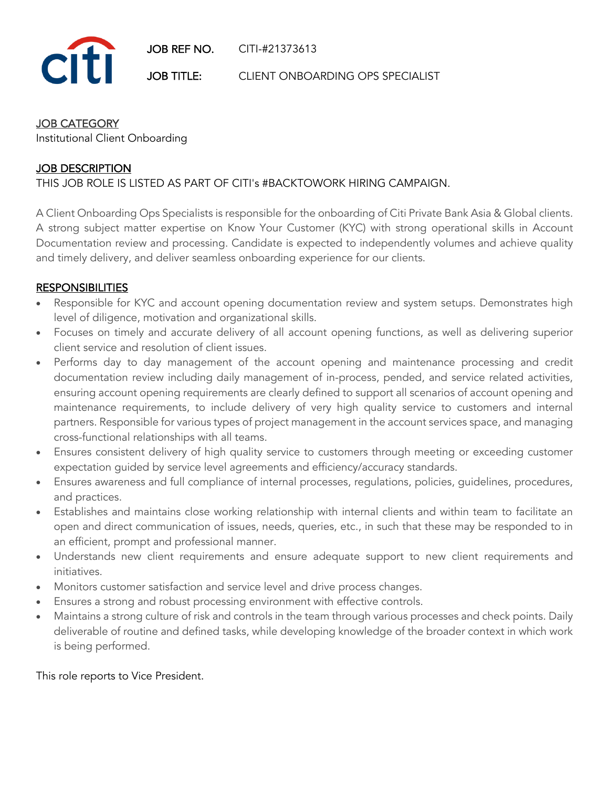

JOB TITLE: CLIENT ONBOARDING OPS SPECIALIST

#### JOB CATEGORY

Institutional Client Onboarding

## JOB DESCRIPTION

### THIS JOB ROLE IS LISTED AS PART OF CITI's #BACKTOWORK HIRING CAMPAIGN.

A Client Onboarding Ops Specialists is responsible for the onboarding of Citi Private Bank Asia & Global clients. A strong subject matter expertise on Know Your Customer (KYC) with strong operational skills in Account Documentation review and processing. Candidate is expected to independently volumes and achieve quality and timely delivery, and deliver seamless onboarding experience for our clients.

#### **RESPONSIBILITIES**

- Responsible for KYC and account opening documentation review and system setups. Demonstrates high level of diligence, motivation and organizational skills.
- Focuses on timely and accurate delivery of all account opening functions, as well as delivering superior client service and resolution of client issues.
- Performs day to day management of the account opening and maintenance processing and credit documentation review including daily management of in-process, pended, and service related activities, ensuring account opening requirements are clearly defined to support all scenarios of account opening and maintenance requirements, to include delivery of very high quality service to customers and internal partners. Responsible for various types of project management in the account services space, and managing cross-functional relationships with all teams.
- Ensures consistent delivery of high quality service to customers through meeting or exceeding customer expectation guided by service level agreements and efficiency/accuracy standards.
- Ensures awareness and full compliance of internal processes, regulations, policies, guidelines, procedures, and practices.
- Establishes and maintains close working relationship with internal clients and within team to facilitate an open and direct communication of issues, needs, queries, etc., in such that these may be responded to in an efficient, prompt and professional manner.
- Understands new client requirements and ensure adequate support to new client requirements and initiatives.
- Monitors customer satisfaction and service level and drive process changes.
- Ensures a strong and robust processing environment with effective controls.
- Maintains a strong culture of risk and controls in the team through various processes and check points. Daily deliverable of routine and defined tasks, while developing knowledge of the broader context in which work is being performed.

This role reports to Vice President.